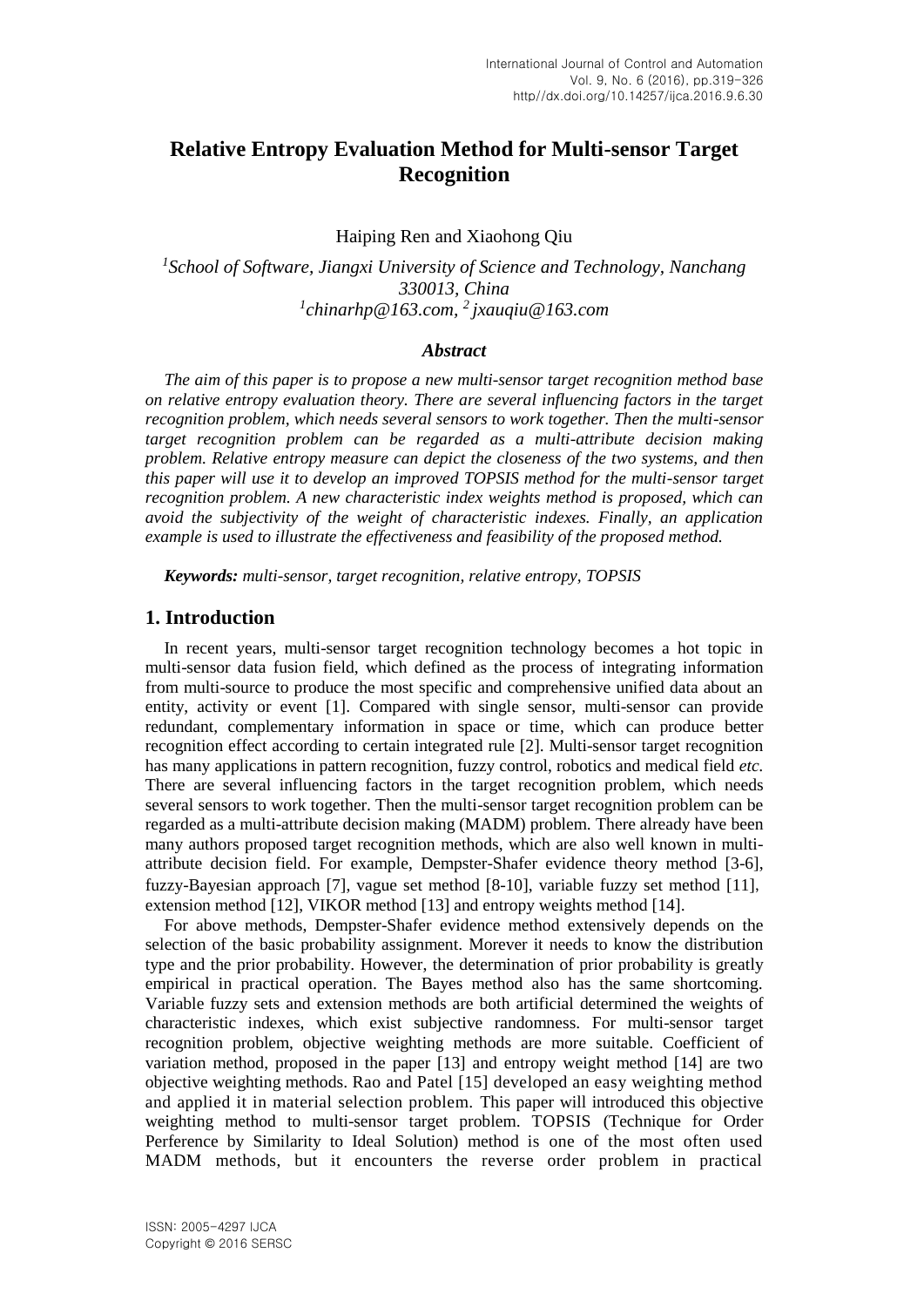# **Relative Entropy Evaluation Method for Multi-sensor Target Recognition**

Haiping Ren and Xiaohong Qiu

<sup>1</sup> School of Software, Jiangxi University of Science and Technology, Nanchang *330013, China 1 chinarhp@163.com, <sup>2</sup>jxauqiu@163.com*

## *Abstract*

*The aim of this paper is to propose a new multi-sensor target recognition method base on relative entropy evaluation theory. There are several influencing factors in the target recognition problem, which needs several sensors to work together. Then the multi-sensor target recognition problem can be regarded as a multi-attribute decision making problem. Relative entropy measure can depict the closeness of the two systems, and then this paper will use it to develop an improved TOPSIS method for the multi-sensor target recognition problem. A new characteristic index weights method is proposed, which can avoid the subjectivity of the weight of characteristic indexes. Finally, an application example is used to illustrate the effectiveness and feasibility of the proposed method.*

*Keywords: multi-sensor, target recognition, relative entropy, TOPSIS*

#### **1. Introduction**

In recent years, multi-sensor target recognition technology becomes a hot topic in multi-sensor data fusion field, which defined as the process of integrating information from multi-source to produce the most specific and comprehensive unified data about an entity, activity or event [1]. Compared with single sensor, multi-sensor can provide redundant, complementary information in space or time, which can produce better recognition effect according to certain integrated rule [2]. Multi-sensor target recognition has many applications in pattern recognition, fuzzy control, robotics and medical field *etc.* There are several influencing factors in the target recognition problem, which needs several sensors to work together. Then the multi-sensor target recognition problem can be regarded as a multi-attribute decision making (MADM) problem. There already have been many authors proposed target recognition methods, which are also well known in multiattribute decision field. For example, Dempster-Shafer evidence theory method [3-6], fuzzy-Bayesian approach [7], vague set method [8-10], variable fuzzy set method [11], extension method [12], VIKOR method [13] and entropy weights method [14].

For above methods, Dempster-Shafer evidence method extensively depends on the selection of the basic probability assignment. Morever it needs to know the distribution type and the prior probability. However, the determination of prior probability is greatly empirical in practical operation. The Bayes method also has the same shortcoming. Variable fuzzy sets and extension methods are both artificial determined the weights of characteristic indexes, which exist subjective randomness. For multi-sensor target recognition problem, objective weighting methods are more suitable. Coefficient of variation method, proposed in the paper [13] and entropy weight method [14] are two objective weighting methods. Rao and Patel [15] developed an easy weighting method and applied it in material selection problem. This paper will introduced this objective weighting method to multi-sensor target problem. TOPSIS (Technique for Order Perference by Similarity to Ideal Solution) method is one of the most often used MADM methods, but it encounters the reverse order problem in practical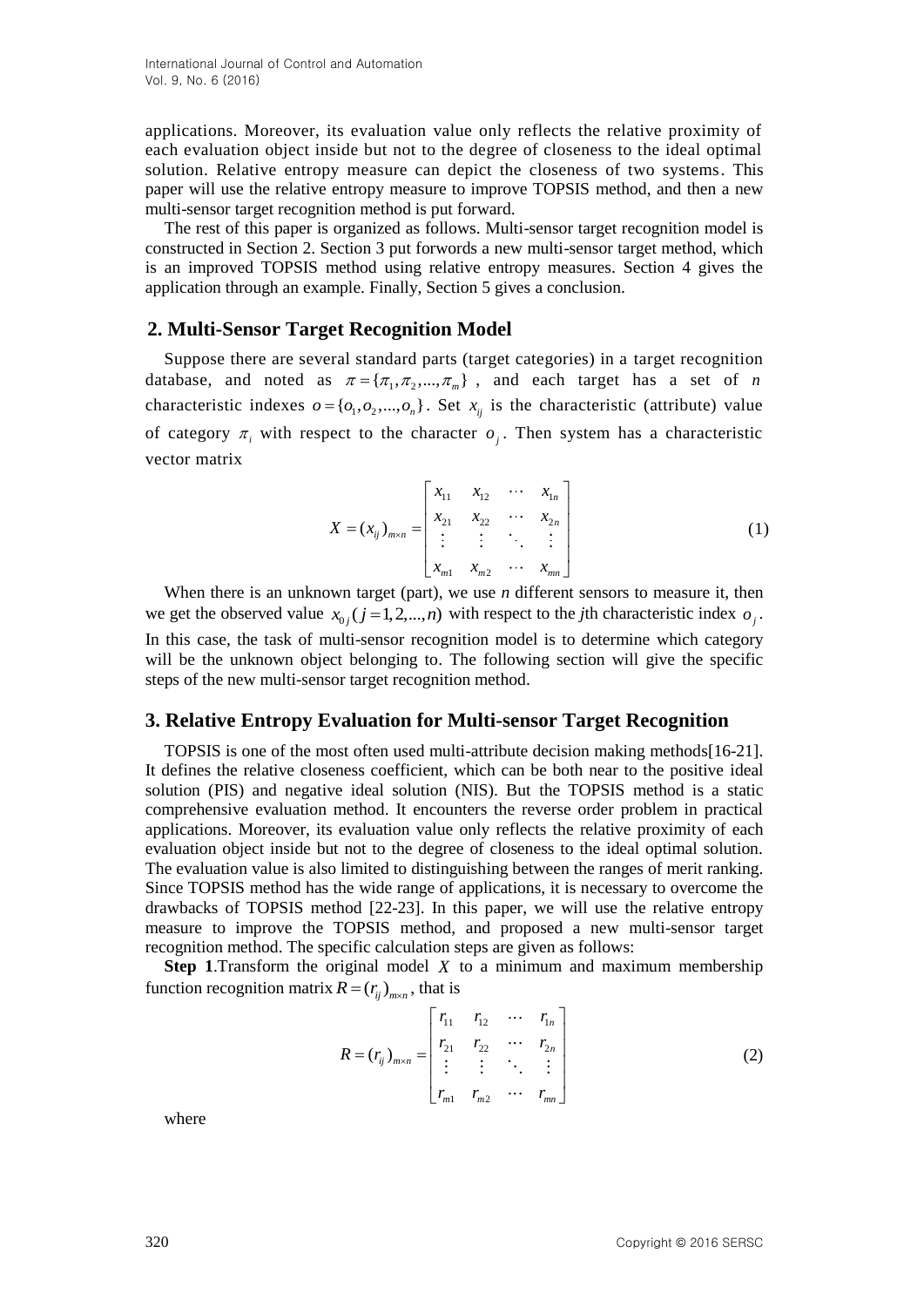applications. Moreover, its evaluation value only reflects the relative proximity of each evaluation object inside but not to the degree of closeness to the ideal optimal solution. Relative entropy measure can depict the closeness of two systems. This paper will use the relative entropy measure to improve TOPSIS method, and then a new multi-sensor target recognition method is put forward.

The rest of this paper is organized as follows. Multi-sensor target recognition model is constructed in Section 2. Section 3 put forwords a new multi-sensor target method, which is an improved TOPSIS method using relative entropy measures. Section 4 gives the application through an example. Finally, Section 5 gives a conclusion.

### **2. Multi-Sensor Target Recognition Model**

Suppose there are several standard parts (target categories) in a target recognition database, and noted as  $\pi = {\pi_1, \pi_2, ..., \pi_m}$ , and each target has a set of *n* characteristic indexes  $o = \{o_1, o_2, ..., o_n\}$ . Set  $x_{ij}$  is the characteristic (attribute) value of category  $\pi$ <sub>i</sub> with respect to the character  $o_j$ . Then system has a characteristic vector matrix

$$
X = (x_{ij})_{m \times n} = \begin{bmatrix} x_{11} & x_{12} & \cdots & x_{1n} \\ x_{21} & x_{22} & \cdots & x_{2n} \\ \vdots & \vdots & \ddots & \vdots \\ x_{m1} & x_{m2} & \cdots & x_{mn} \end{bmatrix}
$$
 (1)

When there is an unknown target (part), we use *n* different sensors to measure it, then we get the observed value  $x_{0j}$  ( $j = 1, 2, ..., n$ ) with respect to the *j*th characteristic index  $o_j$ . In this case, the task of multi-sensor recognition model is to determine which category will be the unknown object belonging to. The following section will give the specific steps of the new multi-sensor target recognition method.

#### **3. Relative Entropy Evaluation for Multi-sensor Target Recognition**

TOPSIS is one of the most often used multi-attribute decision making methods[16-21]. It defines the relative closeness coefficient, which can be both near to the positive ideal solution (PIS) and negative ideal solution (NIS). But the TOPSIS method is a static comprehensive evaluation method. It encounters the reverse order problem in practical applications. Moreover, its evaluation value only reflects the relative proximity of each evaluation object inside but not to the degree of closeness to the ideal optimal solution. The evaluation value is also limited to distinguishing between the ranges of merit ranking. Since TOPSIS method has the wide range of applications, it is necessary to overcome the drawbacks of TOPSIS method [22-23]. In this paper, we will use the relative entropy measure to improve the TOPSIS method, and proposed a new multi-sensor target recognition method. The specific calculation steps are given as follows:

**Step 1**.Transform the original model *X* to a minimum and maximum membership function recognition matrix  $R = (r_{ij})_{m \times n}$ , that is

$$
R = (r_{ij})_{m \times n} = \begin{bmatrix} r_{11} & r_{12} & \cdots & r_{1n} \\ r_{21} & r_{22} & \cdots & r_{2n} \\ \vdots & \vdots & \ddots & \vdots \\ r_{m1} & r_{m2} & \cdots & r_{mn} \end{bmatrix}
$$
 (2)

where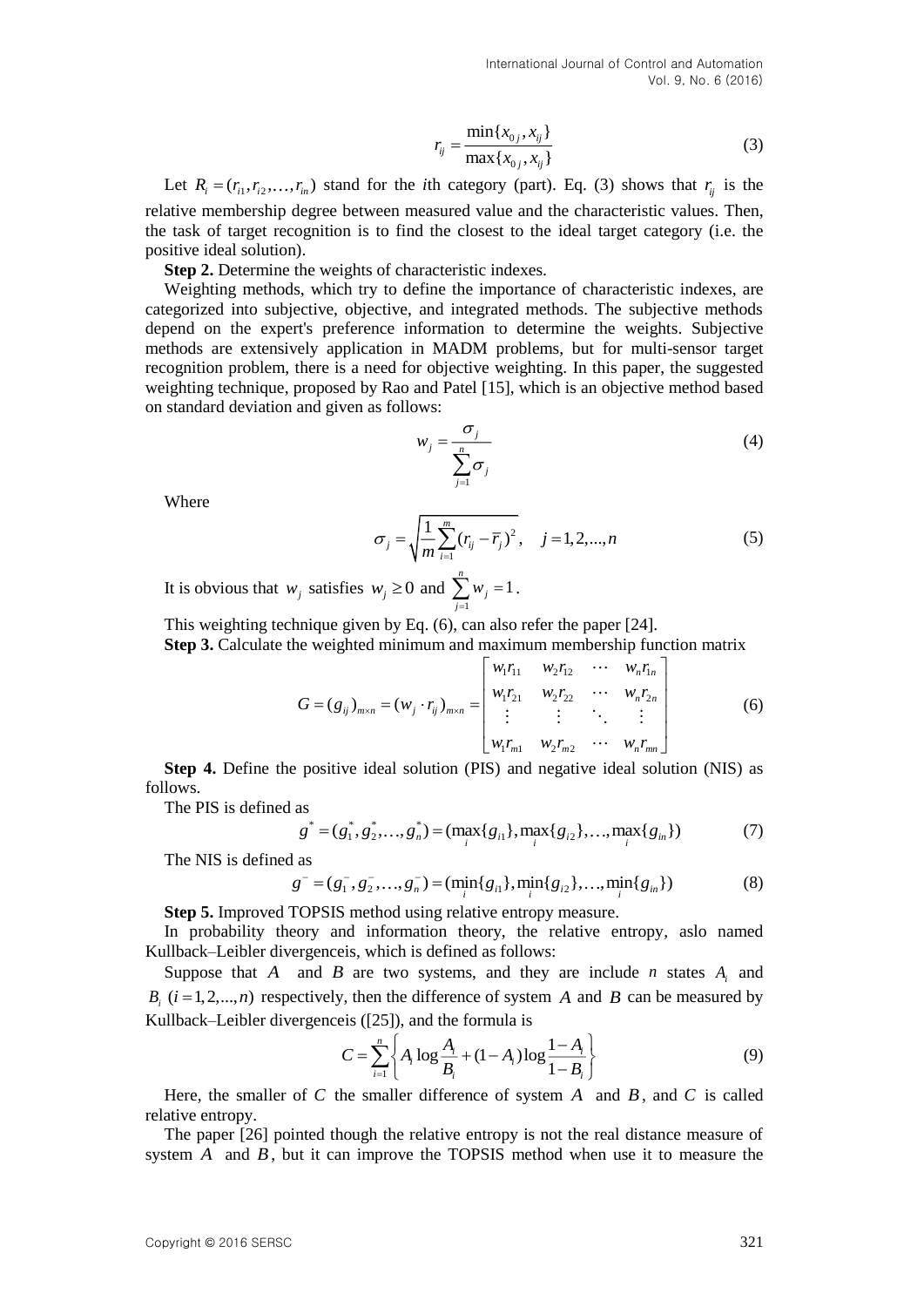$$
r_{ij} = \frac{\min\{x_{0j}, x_{ij}\}}{\max\{x_{0j}, x_{ij}\}}
$$
 (3)

Let  $R_i = (r_{i1}, r_{i2}, \dots, r_{in})$  stand for the *i*th category (part). Eq. (3) shows that  $r_{ij}$  is the relative membership degree between measured value and the characteristic values. Then, the task of target recognition is to find the closest to the ideal target category (i.e. the positive ideal solution).

**Step 2.** Determine the weights of characteristic indexes.

Let  $R_i = (r_{i_1}, r_{i_2}, ..., r_n)$  stand for the attractory (con). Eq. (3) shows that  $r_i$  is the tractor of the attractor (see the content of the content of the content of the content of the content of the content of the content Weighting methods, which try to define the importance of characteristic indexes, are categorized into subjective, objective, and integrated methods. The subjective methods depend on the expert's preference information to determine the weights. Subjective methods are extensively application in MADM problems, but for multi-sensor target recognition problem, there is a need for objective weighting. In this paper, the suggested weighting technique, proposed by Rao and Patel [15], which is an objective method based on standard deviation and given as follows:

$$
w_j = \frac{\sigma_j}{\sum_{j=1}^n \sigma_j} \tag{4}
$$

Where

$$
\sigma_j = \sqrt{\frac{1}{m} \sum_{i=1}^{m} (r_{ij} - \overline{r}_j)^2}, \quad j = 1, 2, ..., n
$$
 (5)

It is obvious that  $w_j$  satisfies  $w_j \ge 0$  and  $\sum_{j=1}^{\infty}$  $\sum_{m=1}^{n} w_m = 1$ *j j w*  $\sum_{i=1} w_i = 1$ .

This weighting technique given by Eq. (6), can also refer the paper [24].

**Step 3.** Calculate the weighted minimum and maximum membership function matrix

$$
G = (g_{ij})_{m \times n} = (w_j \cdot r_{ij})_{m \times n} = \begin{bmatrix} w_1 r_{11} & w_2 r_{12} & \cdots & w_n r_{1n} \\ w_1 r_{21} & w_2 r_{22} & \cdots & w_n r_{2n} \\ \vdots & \vdots & \ddots & \vdots \\ w_1 r_{m1} & w_2 r_{m2} & \cdots & w_n r_{mn} \end{bmatrix}
$$
 (6)

**Step 4.** Define the positive ideal solution (PIS) and negative ideal solution (NIS) as follows.

The PIS is defined as

as  
\n
$$
g^* = (g_1^*, g_2^*, \dots, g_n^*) = (\max_i \{g_{i1}\}, \max_i \{g_{i2}\}, \dots, \max_i \{g_{in}\})
$$
\n(7)

The NIS is defined as

 $g^- = (g_1^-, g_2^-, \dots, g_n^-) = (\min_i \{g_{i1}\}, \min_i \{g_{i2}\}, \dots, \min_i \{g_{in}\})$  (8)

**Step 5.** Improved TOPSIS method using relative entropy measure.

In probability theory and information theory, the relative entropy, aslo named Kullback–Leibler divergenceis, which is defined as follows:

Suppose that  $A$  and  $B$  are two systems, and they are include  $n$  states  $A_i$  and  $B_i$  ( $i = 1, 2, \ldots, n$ ) respectively, then the difference of system A and B can be measured by Kullback–Leibler divergenceis ([25]), and the formula is

$$
C = \sum_{i=1}^{n} \left\{ A_i \log \frac{A_i}{B_i} + (1 - A_i) \log \frac{1 - A_i}{1 - B_i} \right\}
$$
(9)

Here, the smaller of C the smaller difference of system  $A$  and  $B$ , and  $C$  is called relative entropy.

The paper [26] pointed though the relative entropy is not the real distance measure of system  $A$  and  $B$ , but it can improve the TOPSIS method when use it to measure the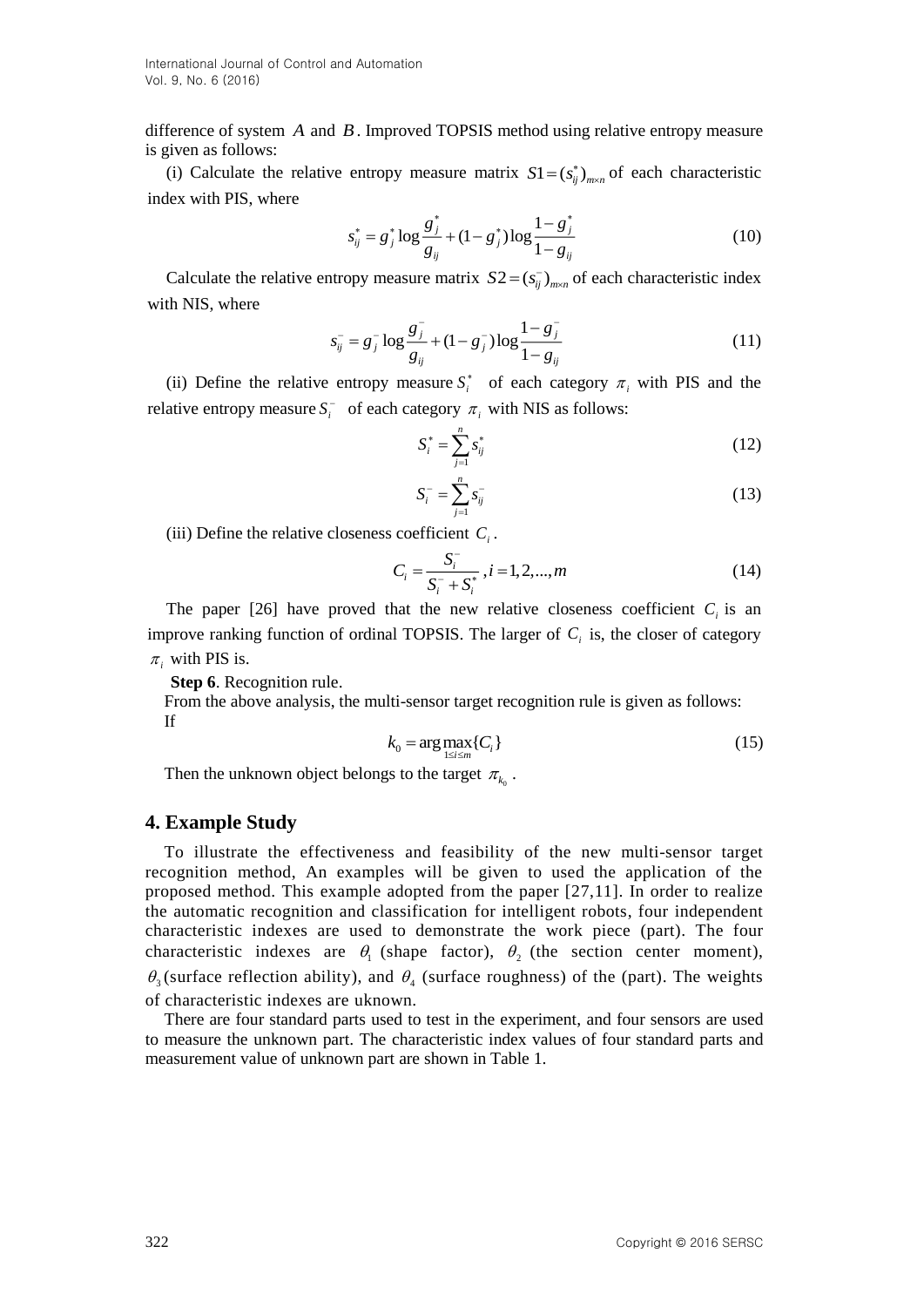International Journal of Control and Automation Vol. 9, No. 6 (2016)

difference of system A and B. Improved TOPSIS method using relative entropy measure is given as follows:

(i) Calculate the relative entropy measure matrix  $SI = (s_{ij}^*)_{m \times n}$  of each characteristic index with PIS, where

$$
s_{ij}^* = g_j^* \log \frac{g_j^*}{g_{ij}} + (1 - g_j^*) \log \frac{1 - g_j^*}{1 - g_{ij}}
$$
(10)

Calculate the relative entropy measure matrix  $S2 = (s_{ij}^-)_{m \times n}$  of each characteristic index with NIS, where

$$
s_{ij}^- = g_j^- \log \frac{g_j^-}{g_{ij}} + (1 - g_j^-) \log \frac{1 - g_j^-}{1 - g_{ij}}
$$
(11)

(ii) Define the relative entropy measure  $S_i^*$  of each category  $\pi_i$  with PIS and the relative entropy measure  $S_i^-$  of each category  $\pi_i$  with NIS as follows:

$$
S_i^* = \sum_{j=1}^n s_{ij}^* \tag{12}
$$

$$
S_i^- = \sum_{j=1}^n s_{ij}^- \tag{13}
$$

(iii) Define the relative closeness coefficient  $C_i$ .

$$
C_i = \frac{S_i^-}{S_i^- + S_i^*}, i = 1, 2, ..., m
$$
\n(14)

The paper [26] have proved that the new relative closeness coefficient  $C_i$  is an improve ranking function of ordinal TOPSIS. The larger of  $C<sub>i</sub>$  is, the closer of category  $\pi$ <sub>i</sub> with PIS is.

**Step 6**. Recognition rule.

From the above analysis, the multi-sensor target recognition rule is given as follows: If

$$
k_0 = \arg\max_{1 \le i \le m} \{C_i\} \tag{15}
$$

Then the unknown object belongs to the target  $\pi_{k_0}$ .

#### **4. Example Study**

To illustrate the effectiveness and feasibility of the new multi-sensor target recognition method, An examples will be given to used the application of the proposed method. This example adopted from the paper [27,11]. In order to realize the automatic recognition and classification for intelligent robots, four independent characteristic indexes are used to demonstrate the work piece (part). The four characteristic indexes are  $\theta_1$  (shape factor),  $\theta_2$  (the section center moment),  $\theta_3$ (surface reflection ability), and  $\theta_4$  (surface roughness) of the (part). The weights of characteristic indexes are uknown.

There are four standard parts used to test in the experiment, and four sensors are used to measure the unknown part. The characteristic index values of four standard parts and measurement value of unknown part are shown in Table 1.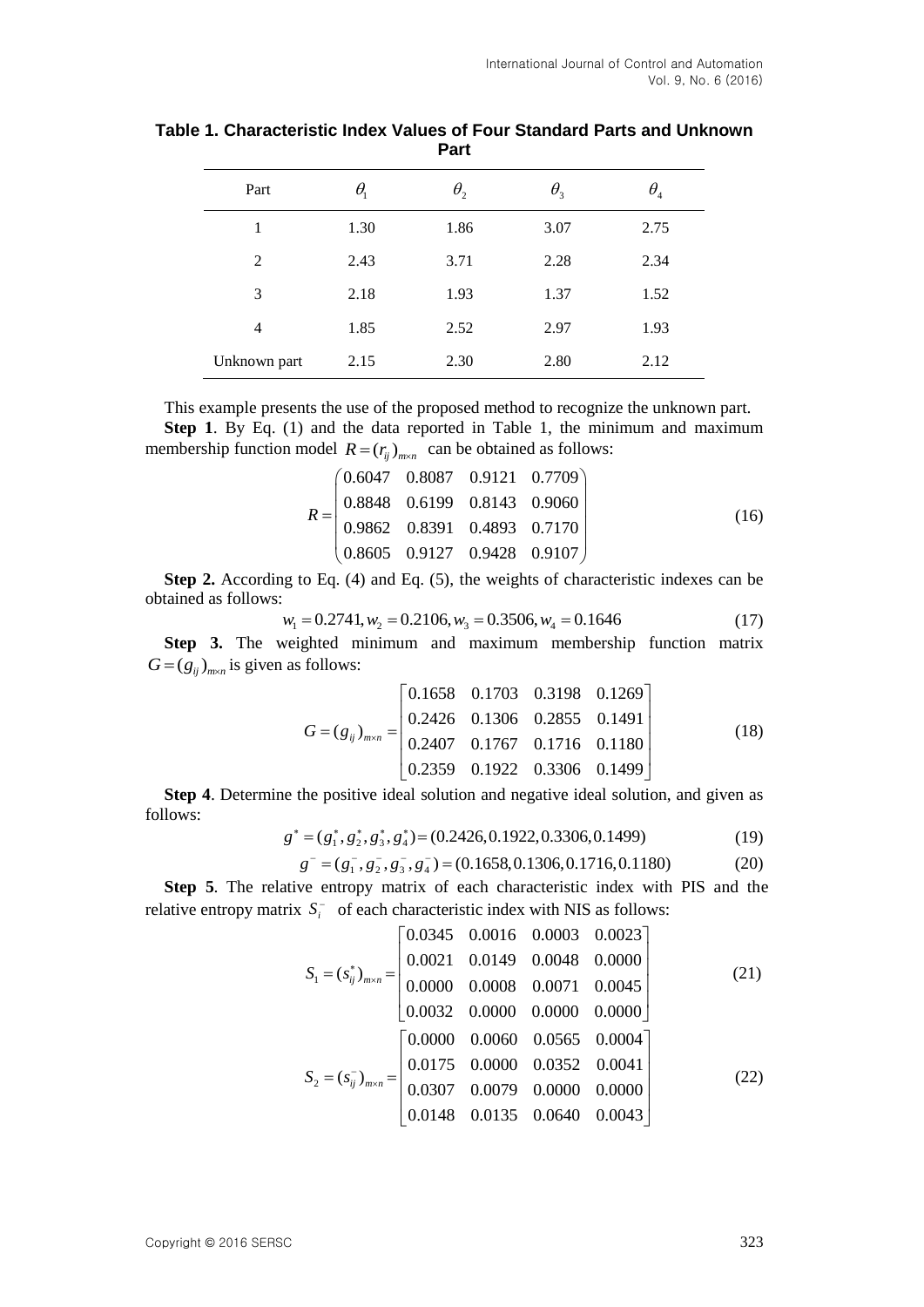| Part         | $\theta_{\rm i}$ | $\theta_{\scriptscriptstyle 2}$ | $\theta_{3}$ | $\theta_{\tiny 4}$ |  |
|--------------|------------------|---------------------------------|--------------|--------------------|--|
| 1            | 1.30             | 1.86                            | 3.07         | 2.75               |  |
| 2            | 2.43             | 3.71                            | 2.28         | 2.34               |  |
| 3            | 2.18             | 1.93                            | 1.37         | 1.52               |  |
| 4            | 1.85             | 2.52                            | 2.97         | 1.93               |  |
| Unknown part | 2.15             | 2.30                            | 2.80         | 2.12               |  |

**Table 1. Characteristic Index Values of Four Standard Parts and Unknown Part**

This example presents the use of the proposed method to recognize the unknown part. **Step 1**. By Eq. (1) and the data reported in Table 1, the minimum and maximum membership function model  $R = (r_{ij})_{m \times n}$  can be obtained as follows:

$$
R = \begin{pmatrix} 0.6047 & 0.8087 & 0.9121 & 0.7709 \\ 0.8848 & 0.6199 & 0.8143 & 0.9060 \\ 0.9862 & 0.8391 & 0.4893 & 0.7170 \\ 0.8605 & 0.9127 & 0.9428 & 0.9107 \end{pmatrix}
$$
(16)

**Step 2.** According to Eq. (4) and Eq. (5), the weights of characteristic indexes can be obtained as follows:

$$
w_1 = 0.2741, w_2 = 0.2106, w_3 = 0.3506, w_4 = 0.1646 \tag{17}
$$

**Step 3.** The weighted minimum and maximum membership function matrix  $G = (g_{ij})_{m \times n}$  is given as follows:

$$
G = (g_{ij})_{m \times n} = \begin{bmatrix} 0.1658 & 0.1703 & 0.3198 & 0.1269 \\ 0.2426 & 0.1306 & 0.2855 & 0.1491 \\ 0.2407 & 0.1767 & 0.1716 & 0.1180 \\ 0.2359 & 0.1922 & 0.3306 & 0.1499 \end{bmatrix}
$$
(18)

**Step 4**. Determine the positive ideal solution and negative ideal solution, and given as follows:

$$
g^* = (g_1^*, g_2^*, g_3^*, g_4^*) = (0.2426, 0.1922, 0.3306, 0.1499)
$$
 (19)

$$
g^- = (g_1^-, g_2^-, g_3^-, g_4^-) = (0.1658, 0.1306, 0.1716, 0.1180)
$$
 (20)

**Step 5**. The relative entropy matrix of each characteristic index with PIS and the relative entropy matrix  $S_i^-$  of each characteristic index with NIS as follows:

$$
S_{1} = (s_{ij}^{*})_{m \times n} = \begin{bmatrix} 0.0345 & 0.0016 & 0.0003 & 0.0023 \\ 0.0021 & 0.0149 & 0.0048 & 0.0000 \\ 0.0000 & 0.0008 & 0.0071 & 0.0045 \\ 0.0032 & 0.0000 & 0.0000 & 0.0000 \end{bmatrix}
$$
(21)  
\n
$$
S_{2} = (s_{ij}^{-})_{m \times n} = \begin{bmatrix} 0.0000 & 0.0060 & 0.0565 & 0.0004 \\ 0.0175 & 0.0000 & 0.0352 & 0.0041 \\ 0.0307 & 0.0079 & 0.0000 & 0.0000 \\ 0.0148 & 0.0135 & 0.0640 & 0.0043 \end{bmatrix}
$$
(22)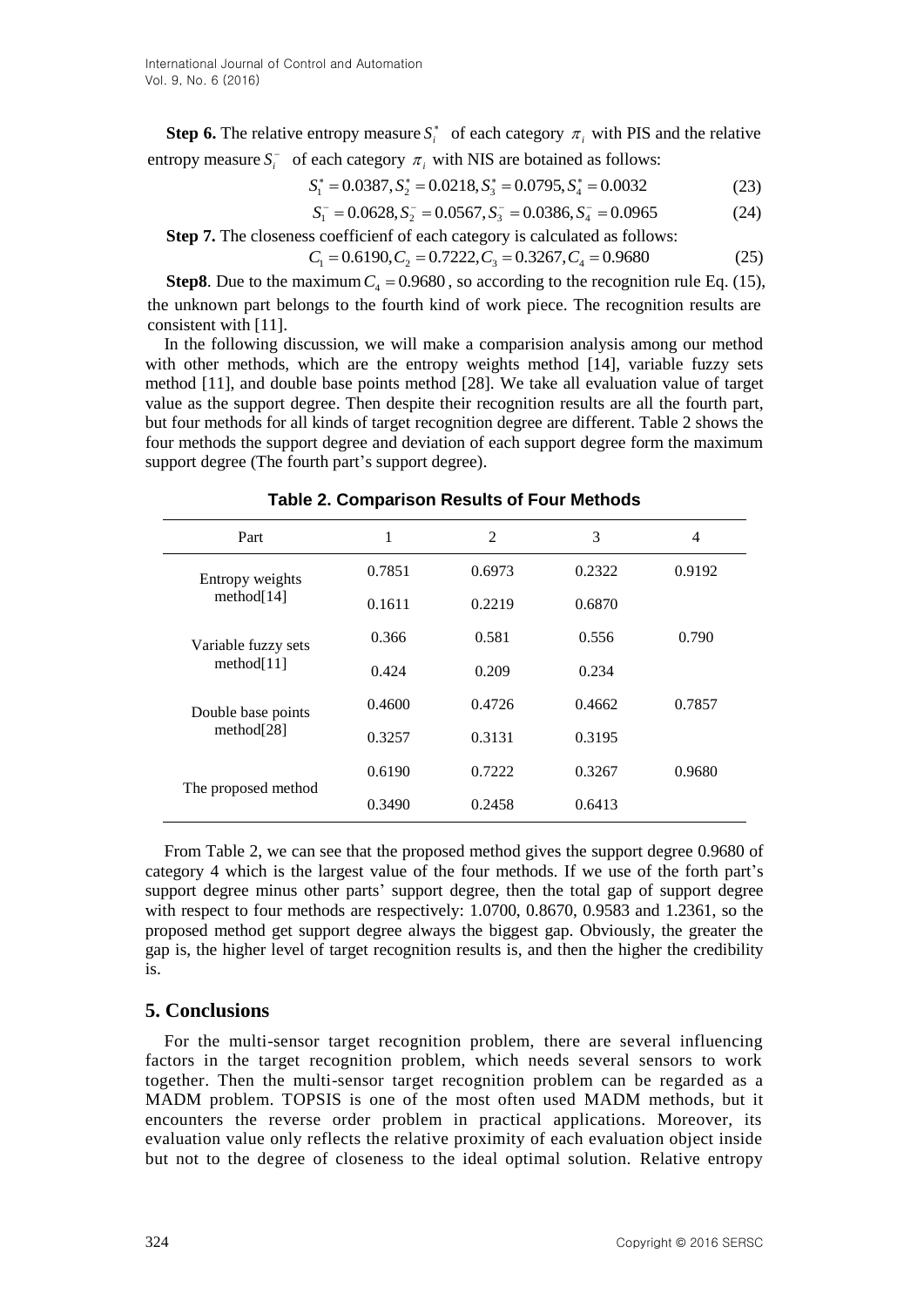**Step 6.** The relative entropy measure  $S_i^*$  of each category  $\pi_i$  with PIS and the relative entropy measure  $S_i^-$  of each category  $\pi_i$  with NIS are botained as follows:

$$
S_1^* = 0.0387, S_2^* = 0.0218, S_3^* = 0.0795, S_4^* = 0.0032
$$
\n(23)

$$
S_1^- = 0.0628, S_2^- = 0.0567, S_3^- = 0.0386, S_4^- = 0.0965 \tag{24}
$$

**Step 7.** The closeness coefficienf of each category is calculated as follows:

$$
C_1 = 0.6190, C_2 = 0.7222, C_3 = 0.3267, C_4 = 0.9680
$$
 (25)

**Step8**. Due to the maximum  $C_4 = 0.9680$ , so according to the recognition rule Eq. (15), the unknown part belongs to the fourth kind of work piece. The recognition results are consistent with [11].

In the following discussion, we will make a comparision analysis among our method with other methods, which are the entropy weights method [14], variable fuzzy sets method [11], and double base points method [28]. We take all evaluation value of target value as the support degree. Then despite their recognition results are all the fourth part, but four methods for all kinds of target recognition degree are different. Table 2 shows the four methods the support degree and deviation of each support degree form the maximum support degree (The fourth part's support degree).

| Part                | 1      | 2      | 3      | 4      |
|---------------------|--------|--------|--------|--------|
| Entropy weights     | 0.7851 | 0.6973 | 0.2322 | 0.9192 |
| method[14]          | 0.1611 | 0.2219 | 0.6870 |        |
| Variable fuzzy sets | 0.366  | 0.581  | 0.556  | 0.790  |
| method[11]          | 0.424  | 0.209  | 0.234  |        |
| Double base points  | 0.4600 | 0.4726 | 0.4662 | 0.7857 |
| method[28]          | 0.3257 | 0.3131 | 0.3195 |        |
|                     | 0.6190 | 0.7222 | 0.3267 | 0.9680 |
| The proposed method | 0.3490 | 0.2458 | 0.6413 |        |

**Table 2. Comparison Results of Four Methods**

From Table 2, we can see that the proposed method gives the support degree 0.9680 of category 4 which is the largest value of the four methods. If we use of the forth part's support degree minus other parts' support degree, then the total gap of support degree with respect to four methods are respectively: 1.0700, 0.8670, 0.9583 and 1.2361, so the proposed method get support degree always the biggest gap. Obviously, the greater the gap is, the higher level of target recognition results is, and then the higher the credibility is.

## **5. Conclusions**

For the multi-sensor target recognition problem, there are several influencing factors in the target recognition problem, which needs several sensors to work together. Then the multi-sensor target recognition problem can be regarded as a MADM problem. TOPSIS is one of the most often used MADM methods, but it encounters the reverse order problem in practical applications. Moreover, its evaluation value only reflects the relative proximity of each evaluation object inside but not to the degree of closeness to the ideal optimal solution. Relative entropy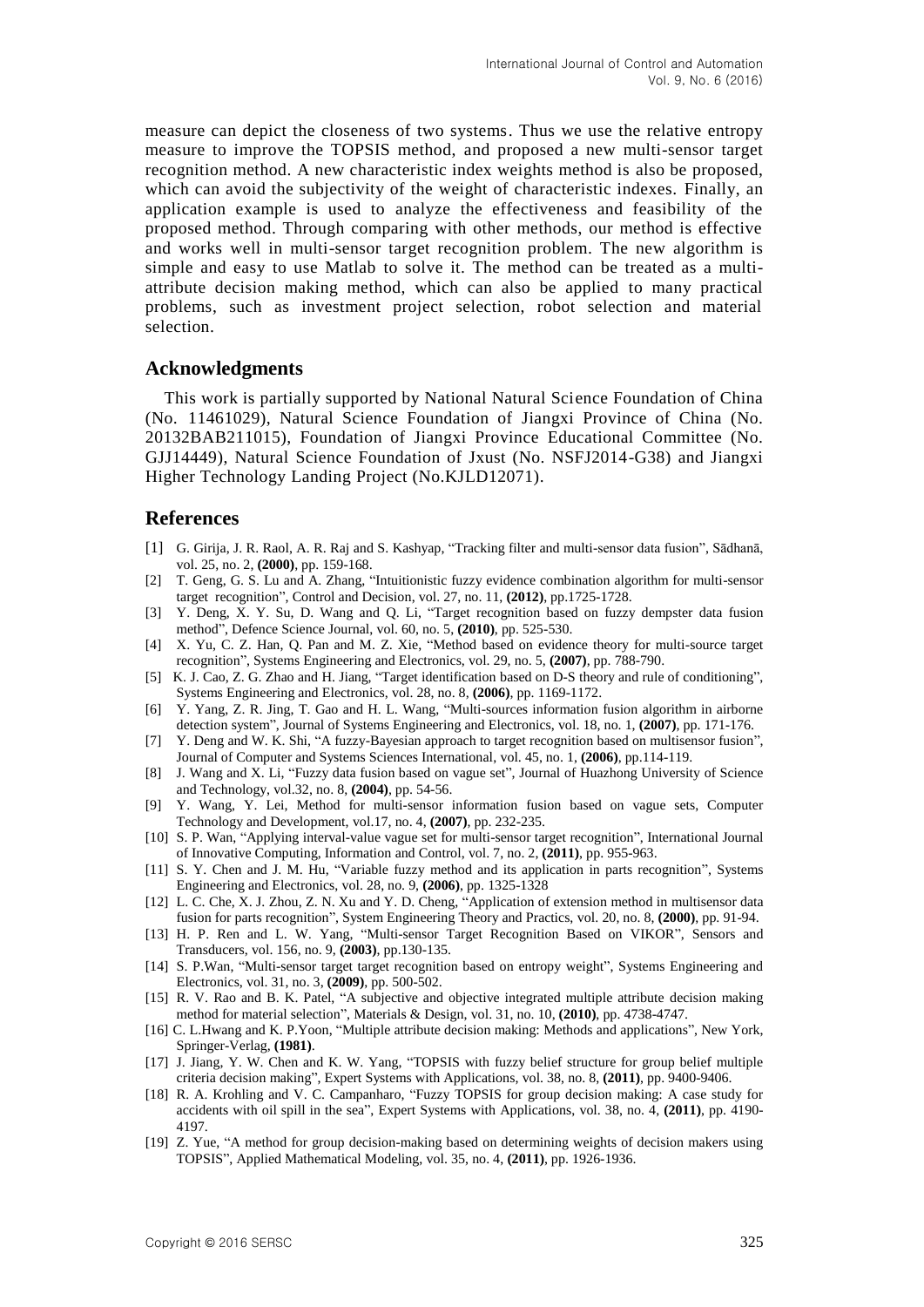measure can depict the closeness of two systems. Thus we use the relative entropy measure to improve the TOPSIS method, and proposed a new multi-sensor target recognition method. A new characteristic index weights method is also be proposed, which can avoid the subjectivity of the weight of characteristic indexes. Finally, an application example is used to analyze the effectiveness and feasibility of the proposed method. Through comparing with other methods, our method is effective and works well in multi-sensor target recognition problem. The new algorithm is simple and easy to use Matlab to solve it. The method can be treated as a multiattribute decision making method, which can also be applied to many practical problems, such as investment project selection, robot selection and material selection.

#### **Acknowledgments**

This work is partially supported by National Natural Science Foundation of China (No. 11461029), Natural Science Foundation of Jiangxi Province of China (No. 20132BAB211015), Foundation of Jiangxi Province Educational Committee (No. GJJ14449), Natural Science Foundation of Jxust (No. NSFJ2014-G38) and Jiangxi Higher Technology Landing Project (No.KJLD12071).

## **References**

- [1] G. Girija, J. R. Raol, A. R. Raj and S. Kashyap, "Tracking filter and multi-sensor data fusion", Sādhanā, vol. 25, no. 2, **(2000)**, pp. 159-168.
- [2] T. Geng, G. S. Lu and A. Zhang, "Intuitionistic fuzzy evidence combination algorithm for multi-sensor target recognition", Control and Decision, vol. 27, no. 11, **(2012)**, pp.1725-1728.
- [3] Y. Deng, X. Y. Su, D. Wang and Q. Li, "Target recognition based on fuzzy dempster data fusion method", Defence Science Journal, vol. 60, no. 5, **(2010)**, pp. 525-530.
- [4] X. Yu, C. Z. Han, Q. Pan and M. Z. Xie, "Method based on evidence theory for multi-source target recognition", Systems Engineering and Electronics, vol. 29, no. 5, **(2007)**, pp. 788-790.
- [5] K. J. Cao, Z. G. Zhao and H. Jiang, "Target identification based on D-S theory and rule of conditioning", Systems Engineering and Electronics, vol. 28, no. 8, **(2006)**, pp. 1169-1172.
- [6] Y. Yang, Z. R. Jing, T. Gao and H. L. Wang, "Multi-sources information fusion algorithm in airborne detection system", Journal of Systems Engineering and Electronics, vol. 18, no. 1, **(2007)**, pp. 171-176.
- [7] Y. Deng and W. K. Shi, "A fuzzy-Bayesian approach to target recognition based on multisensor fusion", Journal of Computer and Systems Sciences International, vol. 45, no. 1, **(2006)**, pp.114-119.
- [8] J. Wang and X. Li, "Fuzzy data fusion based on vague set", Journal of Huazhong University of Science and Technology, vol.32, no. 8, **(2004)**, pp. 54-56.
- [9] Y. Wang, Y. Lei, Method for multi-sensor information fusion based on vague sets, Computer Technology and Development, vol.17, no. 4, **(2007)**, pp. 232-235.
- [10] S. P. Wan, "Applying interval-value vague set for multi-sensor target recognition", International Journal of Innovative Computing, Information and Control, vol. 7, no. 2, **(2011)**, pp. 955-963.
- [11] S. Y. Chen and J. M. Hu, "Variable fuzzy method and its application in parts recognition", Systems Engineering and Electronics, vol. 28, no. 9, **(2006)**, pp. 1325-1328
- [12] L. C. Che, X. J. Zhou, Z. N. Xu and Y. D. Cheng, "Application of extension method in multisensor data fusion for parts recognition", System Engineering Theory and Practics, vol. 20, no. 8, **(2000)**, pp. 91-94.
- [13] H. P. Ren and L. W. Yang, "Multi-sensor Target Recognition Based on VIKOR", Sensors and Transducers, vol. 156, no. 9, **(2003)**, pp.130-135.
- [14] S. P.Wan, "Multi-sensor target target recognition based on entropy weight", Systems Engineering and Electronics, vol. 31, no. 3, **(2009)**, pp. 500-502.
- [15] R. V. Rao and B. K. Patel, "A subjective and objective integrated multiple attribute decision making method for material selection", Materials & Design, vol. 31, no. 10, **(2010)**, pp. 4738-4747.
- [16] C. L.Hwang and K. P.Yoon, "Multiple attribute decision making: Methods and applications", New York, Springer-Verlag, **(1981)**.
- [17] J. Jiang, Y. W. Chen and K. W. Yang, "TOPSIS with fuzzy belief structure for group belief multiple criteria decision making", Expert Systems with Applications, vol. 38, no. 8, **(2011)**, pp. 9400-9406.
- [18] R. A. Krohling and V. C. Campanharo, "Fuzzy TOPSIS for group decision making: A case study for accidents with oil spill in the sea", Expert Systems with Applications, vol. 38, no. 4, **(2011)**, pp. 4190- 4197.
- [19] Z. Yue, "A method for group decision-making based on determining weights of decision makers using TOPSIS", Applied Mathematical Modeling, vol. 35, no. 4, **(2011)**, pp. 1926-1936.